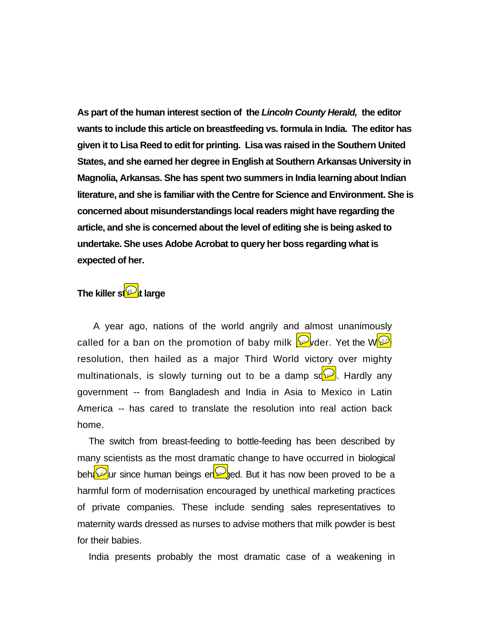**As part of the human interest section of the** *Lincoln County Herald,* **the editor wants to include this article on breastfeeding vs. formula in India. The editor has given it to Lisa Reed to edit for printing. Lisa was raised in the Southern United States, and she earned her degree in English at Southern Arkansas University in Magnolia, Arkansas. She has spent two summers in India learning about Indian literature, and she is familiar with the Centre for Science and Environment. She is concerned about misunderstandings local readers might have regarding the article, and she is concerned about the level of editing she is being asked to undertake. She uses Adobe Acrobat to query her boss regarding what is expected of her.** 

## **The killer stable large**

 A year ago, nations of the world angrily and almost unanimously called for a ban on the promotion of baby milk  $\mathbb{D}$  der. Yet the W $\mathbb{D}$ resolution, then hailed as a major Third World victory over mighty multinationals, is slowly turning out to be a damp so  $\mathbb{P}$ . Hardly any government -- from Bangladesh and India in Asia to Mexico in Latin America -- has cared to translate the resolution into real action back home.

The switch from breast-feeding to bottle-feeding has been described by many scientists as the most dramatic change to have occurred in biological behaviour since human beings en by ded. But it has now been proved to be a harmful form of modernisation encouraged by unethical marketing practices of private companies. These include sending sales representatives to maternity wards dressed as nurses to advise mothers that milk powder is best for their babies.

India presents probably the most dramatic case of a weakening in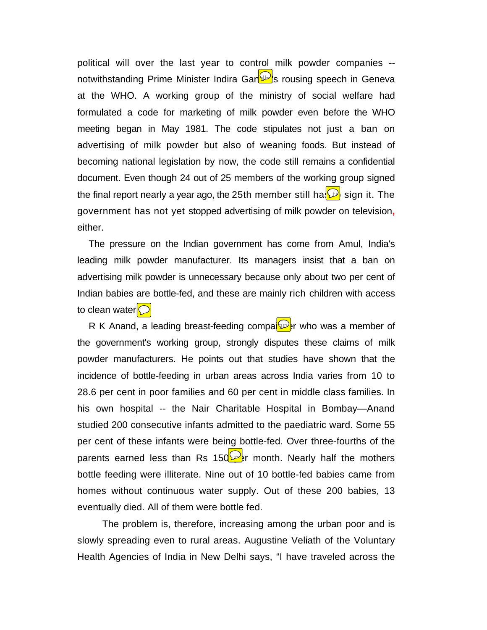political will over the last year to control milk powder companies - notwithstanding Prime Minister Indira Gan<sup>D</sup>s rousing speech in Geneva at the WHO. A working group of the ministry of social welfare had formulated a code for marketing of milk powder even before the WHO meeting began in May 1981. The code stipulates not just a ban on advertising of milk powder but also of weaning foods. But instead of becoming national legislation by now, the code still remains a confidential document. Even though 24 out of 25 members of the working group signed the final report nearly a year ago, the 25th member still has  $\mathcal{D}$  sign it. The government has not yet stopped advertising of milk powder on television**,** either.

The pressure on the Indian government has come from Amul, India's leading milk powder manufacturer. Its managers insist that a ban on advertising milk powder is unnecessary because only about two per cent of Indian babies are bottle-fed, and these are mainly rich children with access to clean water $\bigcirc$ 

R K Anand, a leading breast-feeding comparer who was a member of the government's working group, strongly disputes these claims of milk powder manufacturers. He points out that studies have shown that the incidence of bottle-feeding in urban areas across India varies from 10 to 28.6 per cent in poor families and 60 per cent in middle class families. In his own hospital -- the Nair Charitable Hospital in Bombay—Anand studied 200 consecutive infants admitted to the paediatric ward. Some 55 per cent of these infants were being bottle-fed. Over three-fourths of the parents earned less than Rs 150  $\mathbb{R}$  month. Nearly half the mothers bottle feeding were illiterate. Nine out of 10 bottle-fed babies came from homes without continuous water supply. Out of these 200 babies, 13 eventually died. All of them were bottle fed.

 The problem is, therefore, increasing among the urban poor and is slowly spreading even to rural areas. Augustine Veliath of the Voluntary Health Agencies of India in New Delhi says, "I have traveled across the